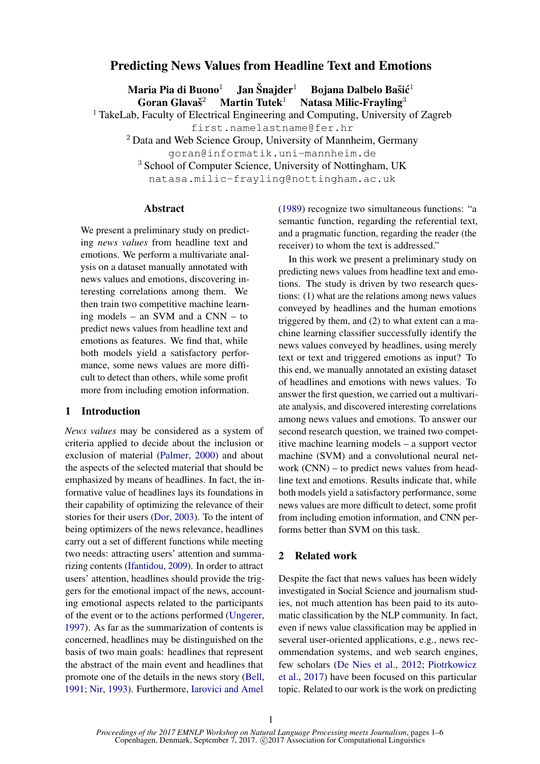# Predicting News Values from Headline Text and Emotions

Maria Pia di Buono $^1$   $\;$  Jan Šnajder $^1$   $\;$  Bojana Dalbelo Bašić $^1$ Goran Glavaš $2$ Martin Tutek<sup>1</sup> Natasa Milic-Frayling<sup>3</sup> <sup>1</sup> TakeLab, Faculty of Electrical Engineering and Computing, University of Zagreb

first.namelastname@fer.hr

<sup>2</sup> Data and Web Science Group, University of Mannheim, Germany

goran@informatik.uni-mannheim.de

<sup>3</sup> School of Computer Science, University of Nottingham, UK

natasa.milic-frayling@nottingham.ac.uk

## Abstract

We present a preliminary study on predicting *news values* from headline text and emotions. We perform a multivariate analysis on a dataset manually annotated with news values and emotions, discovering interesting correlations among them. We then train two competitive machine learning models – an SVM and a CNN – to predict news values from headline text and emotions as features. We find that, while both models yield a satisfactory performance, some news values are more difficult to detect than others, while some profit more from including emotion information.

## 1 Introduction

*News values* may be considered as a system of criteria applied to decide about the inclusion or exclusion of material (Palmer, 2000) and about the aspects of the selected material that should be emphasized by means of headlines. In fact, the informative value of headlines lays its foundations in their capability of optimizing the relevance of their stories for their users (Dor, 2003). To the intent of being optimizers of the news relevance, headlines carry out a set of different functions while meeting two needs: attracting users' attention and summarizing contents (Ifantidou, 2009). In order to attract users' attention, headlines should provide the triggers for the emotional impact of the news, accounting emotional aspects related to the participants of the event or to the actions performed (Ungerer, 1997). As far as the summarization of contents is concerned, headlines may be distinguished on the basis of two main goals: headlines that represent the abstract of the main event and headlines that promote one of the details in the news story (Bell, 1991; Nir, 1993). Furthermore, Iarovici and Amel

(1989) recognize two simultaneous functions: "a semantic function, regarding the referential text, and a pragmatic function, regarding the reader (the receiver) to whom the text is addressed."

In this work we present a preliminary study on predicting news values from headline text and emotions. The study is driven by two research questions: (1) what are the relations among news values conveyed by headlines and the human emotions triggered by them, and (2) to what extent can a machine learning classifier successfully identify the news values conveyed by headlines, using merely text or text and triggered emotions as input? To this end, we manually annotated an existing dataset of headlines and emotions with news values. To answer the first question, we carried out a multivariate analysis, and discovered interesting correlations among news values and emotions. To answer our second research question, we trained two competitive machine learning models – a support vector machine (SVM) and a convolutional neural network (CNN) – to predict news values from headline text and emotions. Results indicate that, while both models yield a satisfactory performance, some news values are more difficult to detect, some profit from including emotion information, and CNN performs better than SVM on this task.

# 2 Related work

Despite the fact that news values has been widely investigated in Social Science and journalism studies, not much attention has been paid to its automatic classification by the NLP community. In fact, even if news value classification may be applied in several user-oriented applications, e.g., news recommendation systems, and web search engines, few scholars (De Nies et al., 2012; Piotrkowicz et al., 2017) have been focused on this particular topic. Related to our work is the work on predicting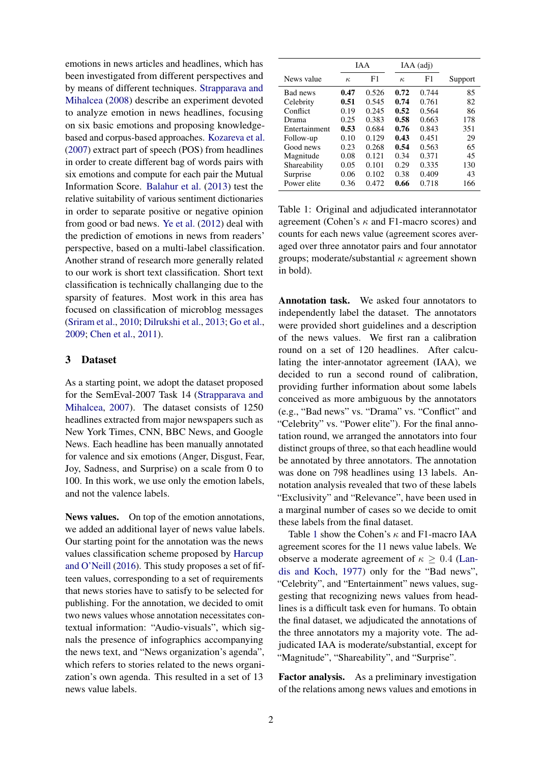emotions in news articles and headlines, which has been investigated from different perspectives and by means of different techniques. Strapparava and Mihalcea (2008) describe an experiment devoted to analyze emotion in news headlines, focusing on six basic emotions and proposing knowledgebased and corpus-based approaches. Kozareva et al. (2007) extract part of speech (POS) from headlines in order to create different bag of words pairs with six emotions and compute for each pair the Mutual Information Score. Balahur et al. (2013) test the relative suitability of various sentiment dictionaries in order to separate positive or negative opinion from good or bad news. Ye et al. (2012) deal with the prediction of emotions in news from readers' perspective, based on a multi-label classification. Another strand of research more generally related to our work is short text classification. Short text classification is technically challanging due to the sparsity of features. Most work in this area has focused on classification of microblog messages (Sriram et al., 2010; Dilrukshi et al., 2013; Go et al., 2009; Chen et al., 2011).

#### 3 Dataset

As a starting point, we adopt the dataset proposed for the SemEval-2007 Task 14 (Strapparava and Mihalcea, 2007). The dataset consists of 1250 headlines extracted from major newspapers such as New York Times, CNN, BBC News, and Google News. Each headline has been manually annotated for valence and six emotions (Anger, Disgust, Fear, Joy, Sadness, and Surprise) on a scale from 0 to 100. In this work, we use only the emotion labels, and not the valence labels.

News values. On top of the emotion annotations, we added an additional layer of news value labels. Our starting point for the annotation was the news values classification scheme proposed by Harcup and O'Neill (2016). This study proposes a set of fifteen values, corresponding to a set of requirements that news stories have to satisfy to be selected for publishing. For the annotation, we decided to omit two news values whose annotation necessitates contextual information: "Audio-visuals", which signals the presence of infographics accompanying the news text, and "News organization's agenda", which refers to stories related to the news organization's own agenda. This resulted in a set of 13 news value labels.

|               | <b>JAA</b> |       | IAA (adj) |       |         |
|---------------|------------|-------|-----------|-------|---------|
| News value    | $\kappa$   | F1    | $\kappa$  | F1    | Support |
| Bad news      | 0.47       | 0.526 | 0.72      | 0.744 | 85      |
| Celebrity     | 0.51       | 0.545 | 0.74      | 0.761 | 82      |
| Conflict      | 0.19       | 0.245 | 0.52      | 0.564 | 86      |
| Drama         | 0.25       | 0.383 | 0.58      | 0.663 | 178     |
| Entertainment | 0.53       | 0.684 | 0.76      | 0.843 | 351     |
| Follow-up     | 0.10       | 0.129 | 0.43      | 0.451 | 29      |
| Good news     | 0.23       | 0.268 | 0.54      | 0.563 | 65      |
| Magnitude     | 0.08       | 0.121 | 0.34      | 0.371 | 45      |
| Shareability  | 0.05       | 0.101 | 0.29      | 0.335 | 130     |
| Surprise      | 0.06       | 0.102 | 0.38      | 0.409 | 43      |
| Power elite   | 0.36       | 0.472 | 0.66      | 0.718 | 166     |

Table 1: Original and adjudicated interannotator agreement (Cohen's  $\kappa$  and F1-macro scores) and counts for each news value (agreement scores averaged over three annotator pairs and four annotator groups; moderate/substantial  $\kappa$  agreement shown in bold).

Annotation task. We asked four annotators to independently label the dataset. The annotators were provided short guidelines and a description of the news values. We first ran a calibration round on a set of 120 headlines. After calculating the inter-annotator agreement (IAA), we decided to run a second round of calibration, providing further information about some labels conceived as more ambiguous by the annotators (e.g., "Bad news" vs. "Drama" vs. "Conflict" and "Celebrity" vs. "Power elite"). For the final annotation round, we arranged the annotators into four distinct groups of three, so that each headline would be annotated by three annotators. The annotation was done on 798 headlines using 13 labels. Annotation analysis revealed that two of these labels "Exclusivity" and "Relevance", have been used in a marginal number of cases so we decide to omit these labels from the final dataset.

Table 1 show the Cohen's κ and F1-macro IAA agreement scores for the 11 news value labels. We observe a moderate agreement of  $\kappa \geq 0.4$  (Landis and Koch, 1977) only for the "Bad news", "Celebrity", and "Entertainment" news values, suggesting that recognizing news values from headlines is a difficult task even for humans. To obtain the final dataset, we adjudicated the annotations of the three annotators my a majority vote. The adjudicated IAA is moderate/substantial, except for "Magnitude", "Shareability", and "Surprise".

Factor analysis. As a preliminary investigation of the relations among news values and emotions in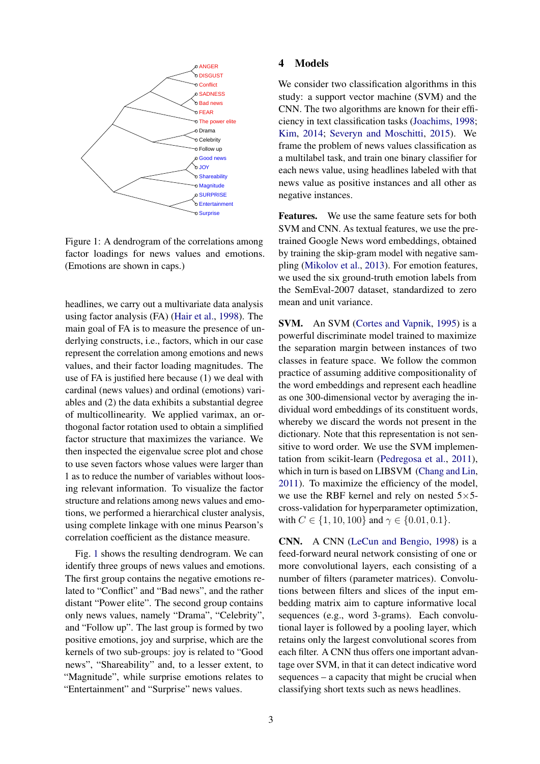

Figure 1: A dendrogram of the correlations among factor loadings for news values and emotions. (Emotions are shown in caps.)

headlines, we carry out a multivariate data analysis using factor analysis (FA) (Hair et al., 1998). The main goal of FA is to measure the presence of underlying constructs, i.e., factors, which in our case represent the correlation among emotions and news values, and their factor loading magnitudes. The use of FA is justified here because (1) we deal with cardinal (news values) and ordinal (emotions) variables and (2) the data exhibits a substantial degree of multicollinearity. We applied varimax, an orthogonal factor rotation used to obtain a simplified factor structure that maximizes the variance. We then inspected the eigenvalue scree plot and chose to use seven factors whose values were larger than 1 as to reduce the number of variables without loosing relevant information. To visualize the factor structure and relations among news values and emotions, we performed a hierarchical cluster analysis, using complete linkage with one minus Pearson's correlation coefficient as the distance measure.

Fig. 1 shows the resulting dendrogram. We can identify three groups of news values and emotions. The first group contains the negative emotions related to "Conflict" and "Bad news", and the rather distant "Power elite". The second group contains only news values, namely "Drama", "Celebrity", and "Follow up". The last group is formed by two positive emotions, joy and surprise, which are the kernels of two sub-groups: joy is related to "Good news", "Shareability" and, to a lesser extent, to "Magnitude", while surprise emotions relates to "Entertainment" and "Surprise" news values.

## 4 Models

We consider two classification algorithms in this study: a support vector machine (SVM) and the CNN. The two algorithms are known for their efficiency in text classification tasks (Joachims, 1998; Kim, 2014; Severyn and Moschitti, 2015). We frame the problem of news values classification as a multilabel task, and train one binary classifier for each news value, using headlines labeled with that news value as positive instances and all other as negative instances.

Features. We use the same feature sets for both SVM and CNN. As textual features, we use the pretrained Google News word embeddings, obtained by training the skip-gram model with negative sampling (Mikolov et al., 2013). For emotion features, we used the six ground-truth emotion labels from the SemEval-2007 dataset, standardized to zero mean and unit variance.

SVM. An SVM (Cortes and Vapnik, 1995) is a powerful discriminate model trained to maximize the separation margin between instances of two classes in feature space. We follow the common practice of assuming additive compositionality of the word embeddings and represent each headline as one 300-dimensional vector by averaging the individual word embeddings of its constituent words, whereby we discard the words not present in the dictionary. Note that this representation is not sensitive to word order. We use the SVM implementation from scikit-learn (Pedregosa et al., 2011), which in turn is based on LIBSVM (Chang and Lin, 2011). To maximize the efficiency of the model, we use the RBF kernel and rely on nested  $5\times5$ cross-validation for hyperparameter optimization, with  $C \in \{1, 10, 100\}$  and  $\gamma \in \{0.01, 0.1\}$ .

CNN. A CNN (LeCun and Bengio, 1998) is a feed-forward neural network consisting of one or more convolutional layers, each consisting of a number of filters (parameter matrices). Convolutions between filters and slices of the input embedding matrix aim to capture informative local sequences (e.g., word 3-grams). Each convolutional layer is followed by a pooling layer, which retains only the largest convolutional scores from each filter. A CNN thus offers one important advantage over SVM, in that it can detect indicative word sequences – a capacity that might be crucial when classifying short texts such as news headlines.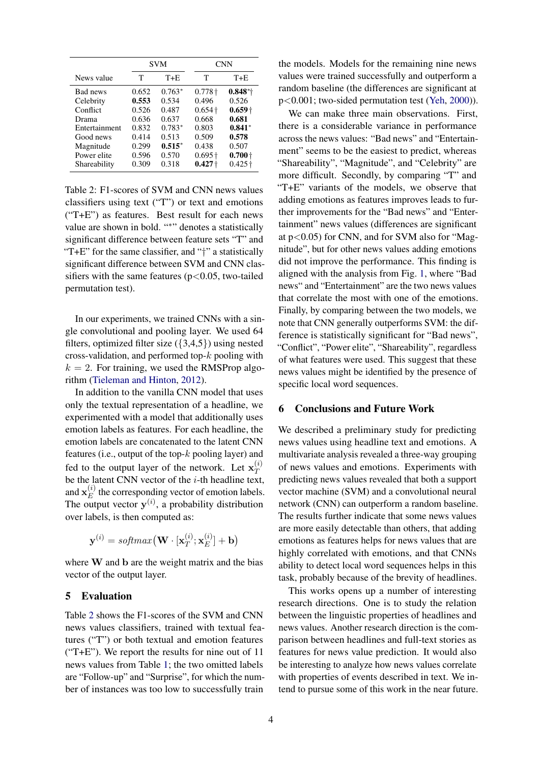|               | <b>SVM</b> |          | <b>CNN</b>     |                |
|---------------|------------|----------|----------------|----------------|
| News value    | Т          | $T + E$  | Т              | $T + E$        |
| Bad news      | 0.652      | $0.763*$ | $0.778\dagger$ | $0.848*$       |
| Celebrity     | 0.553      | 0.534    | 0.496          | 0.526          |
| Conflict      | 0.526      | 0.487    | $0.654\dagger$ | $0.659 +$      |
| Drama         | 0.636      | 0.637    | 0.668          | 0.681          |
| Entertainment | 0.832      | $0.783*$ | 0.803          | $0.841*$       |
| Good news     | 0.414      | 0.513    | 0.509          | 0.578          |
| Magnitude     | 0.299      | $0.515*$ | 0.438          | 0.507          |
| Power elite   | 0.596      | 0.570    | $0.695\dagger$ | $0.700 +$      |
| Shareability  | 0.309      | 0.318    | $0.427 +$      | $0.425\dagger$ |

Table 2: F1-scores of SVM and CNN news values classifiers using text ("T") or text and emotions ("T+E") as features. Best result for each news value are shown in bold. "\*" denotes a statistically significant difference between feature sets "T" and "T+E" for the same classifier, and "†" a statistically significant difference between SVM and CNN classifiers with the same features ( $p < 0.05$ , two-tailed permutation test).

In our experiments, we trained CNNs with a single convolutional and pooling layer. We used 64 filters, optimized filter size  $({3,4,5})$  using nested cross-validation, and performed top- $k$  pooling with  $k = 2$ . For training, we used the RMSProp algorithm (Tieleman and Hinton, 2012).

In addition to the vanilla CNN model that uses only the textual representation of a headline, we experimented with a model that additionally uses emotion labels as features. For each headline, the emotion labels are concatenated to the latent CNN features (i.e., output of the top- $k$  pooling layer) and fed to the output layer of the network. Let  $x_T^{(i)}$ T be the latent CNN vector of the  $i$ -th headline text, and  $\mathbf{x}_E^{(i)}$  $\mathcal{L}_{E}^{(t)}$  the corresponding vector of emotion labels. The output vector  $y^{(i)}$ , a probability distribution over labels, is then computed as:

$$
\mathbf{y}^{(i)} = \textit{softmax}\big(\mathbf{W} \cdot [\mathbf{x}_T^{(i)}; \mathbf{x}_E^{(i)}] + \mathbf{b}\big)
$$

where W and b are the weight matrix and the bias vector of the output layer.

## 5 Evaluation

Table 2 shows the F1-scores of the SVM and CNN news values classifiers, trained with textual features ("T") or both textual and emotion features ("T+E"). We report the results for nine out of 11 news values from Table 1; the two omitted labels are "Follow-up" and "Surprise", for which the number of instances was too low to successfully train the models. Models for the remaining nine news values were trained successfully and outperform a random baseline (the differences are significant at p<0.001; two-sided permutation test (Yeh, 2000)).

We can make three main observations. First, there is a considerable variance in performance across the news values: "Bad news" and "Entertainment" seems to be the easiest to predict, whereas "Shareability", "Magnitude", and "Celebrity" are more difficult. Secondly, by comparing "T" and "T+E" variants of the models, we observe that adding emotions as features improves leads to further improvements for the "Bad news" and "Entertainment" news values (differences are significant at  $p<0.05$ ) for CNN, and for SVM also for "Magnitude", but for other news values adding emotions did not improve the performance. This finding is aligned with the analysis from Fig. 1, where "Bad news" and "Entertainment" are the two news values that correlate the most with one of the emotions. Finally, by comparing between the two models, we note that CNN generally outperforms SVM: the difference is statistically significant for "Bad news", "Conflict", "Power elite", "Shareability", regardless of what features were used. This suggest that these news values might be identified by the presence of specific local word sequences.

#### 6 Conclusions and Future Work

We described a preliminary study for predicting news values using headline text and emotions. A multivariate analysis revealed a three-way grouping of news values and emotions. Experiments with predicting news values revealed that both a support vector machine (SVM) and a convolutional neural network (CNN) can outperform a random baseline. The results further indicate that some news values are more easily detectable than others, that adding emotions as features helps for news values that are highly correlated with emotions, and that CNNs ability to detect local word sequences helps in this task, probably because of the brevity of headlines.

This works opens up a number of interesting research directions. One is to study the relation between the linguistic properties of headlines and news values. Another research direction is the comparison between headlines and full-text stories as features for news value prediction. It would also be interesting to analyze how news values correlate with properties of events described in text. We intend to pursue some of this work in the near future.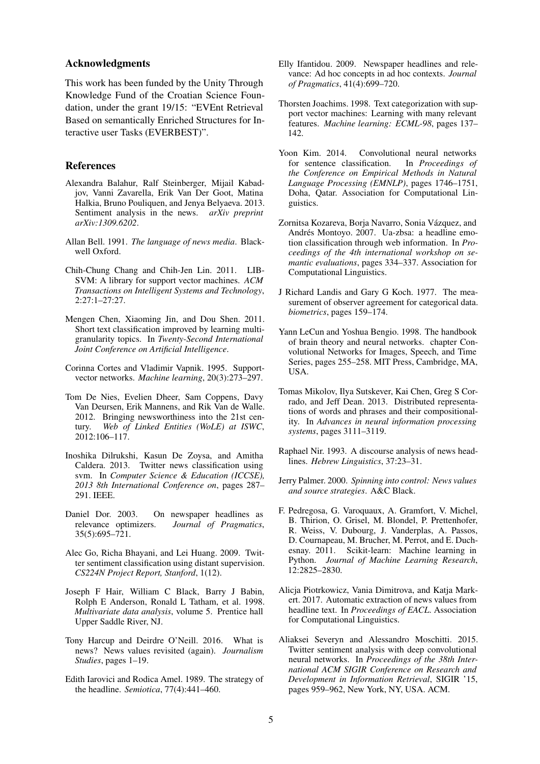#### Acknowledgments

This work has been funded by the Unity Through Knowledge Fund of the Croatian Science Foundation, under the grant 19/15: "EVEnt Retrieval Based on semantically Enriched Structures for Interactive user Tasks (EVERBEST)".

#### References

- Alexandra Balahur, Ralf Steinberger, Mijail Kabadjov, Vanni Zavarella, Erik Van Der Goot, Matina Halkia, Bruno Pouliquen, and Jenya Belyaeva. 2013. Sentiment analysis in the news. *arXiv preprint arXiv:1309.6202*.
- Allan Bell. 1991. *The language of news media*. Blackwell Oxford.
- Chih-Chung Chang and Chih-Jen Lin. 2011. LIB-SVM: A library for support vector machines. *ACM Transactions on Intelligent Systems and Technology*, 2:27:1–27:27.
- Mengen Chen, Xiaoming Jin, and Dou Shen. 2011. Short text classification improved by learning multigranularity topics. In *Twenty-Second International Joint Conference on Artificial Intelligence*.
- Corinna Cortes and Vladimir Vapnik. 1995. Supportvector networks. *Machine learning*, 20(3):273–297.
- Tom De Nies, Evelien Dheer, Sam Coppens, Davy Van Deursen, Erik Mannens, and Rik Van de Walle. 2012. Bringing newsworthiness into the 21st century. *Web of Linked Entities (WoLE) at ISWC*, 2012:106–117.
- Inoshika Dilrukshi, Kasun De Zoysa, and Amitha Caldera. 2013. Twitter news classification using svm. In *Computer Science & Education (ICCSE), 2013 8th International Conference on*, pages 287– 291. IEEE.
- Daniel Dor. 2003. On newspaper headlines as relevance optimizers. *Journal of Pragmatics*, 35(5):695–721.
- Alec Go, Richa Bhayani, and Lei Huang. 2009. Twitter sentiment classification using distant supervision. *CS224N Project Report, Stanford*, 1(12).
- Joseph F Hair, William C Black, Barry J Babin, Rolph E Anderson, Ronald L Tatham, et al. 1998. *Multivariate data analysis*, volume 5. Prentice hall Upper Saddle River, NJ.
- Tony Harcup and Deirdre O'Neill. 2016. What is news? News values revisited (again). *Journalism Studies*, pages 1–19.
- Edith Iarovici and Rodica Amel. 1989. The strategy of the headline. *Semiotica*, 77(4):441–460.
- Elly Ifantidou. 2009. Newspaper headlines and relevance: Ad hoc concepts in ad hoc contexts. *Journal of Pragmatics*, 41(4):699–720.
- Thorsten Joachims. 1998. Text categorization with support vector machines: Learning with many relevant features. *Machine learning: ECML-98*, pages 137– 142.
- Yoon Kim. 2014. Convolutional neural networks<br>for sentence classification. In *Proceedings of* for sentence classification. *the Conference on Empirical Methods in Natural Language Processing (EMNLP)*, pages 1746–1751, Doha, Qatar. Association for Computational Linguistics.
- Zornitsa Kozareva, Borja Navarro, Sonia Vázquez, and Andrés Montoyo. 2007. Ua-zbsa: a headline emotion classification through web information. In *Proceedings of the 4th international workshop on semantic evaluations*, pages 334–337. Association for Computational Linguistics.
- J Richard Landis and Gary G Koch. 1977. The measurement of observer agreement for categorical data. *biometrics*, pages 159–174.
- Yann LeCun and Yoshua Bengio. 1998. The handbook of brain theory and neural networks. chapter Convolutional Networks for Images, Speech, and Time Series, pages 255–258. MIT Press, Cambridge, MA, USA.
- Tomas Mikolov, Ilya Sutskever, Kai Chen, Greg S Corrado, and Jeff Dean. 2013. Distributed representations of words and phrases and their compositionality. In *Advances in neural information processing systems*, pages 3111–3119.
- Raphael Nir. 1993. A discourse analysis of news headlines. *Hebrew Linguistics*, 37:23–31.
- Jerry Palmer. 2000. *Spinning into control: News values and source strategies*. A&C Black.
- F. Pedregosa, G. Varoquaux, A. Gramfort, V. Michel, B. Thirion, O. Grisel, M. Blondel, P. Prettenhofer, R. Weiss, V. Dubourg, J. Vanderplas, A. Passos, D. Cournapeau, M. Brucher, M. Perrot, and E. Duchesnay. 2011. Scikit-learn: Machine learning in Python. *Journal of Machine Learning Research*, 12:2825–2830.
- Alicja Piotrkowicz, Vania Dimitrova, and Katja Markert. 2017. Automatic extraction of news values from headline text. In *Proceedings of EACL*. Association for Computational Linguistics.
- Aliaksei Severyn and Alessandro Moschitti. 2015. Twitter sentiment analysis with deep convolutional neural networks. In *Proceedings of the 38th International ACM SIGIR Conference on Research and Development in Information Retrieval*, SIGIR '15, pages 959–962, New York, NY, USA. ACM.